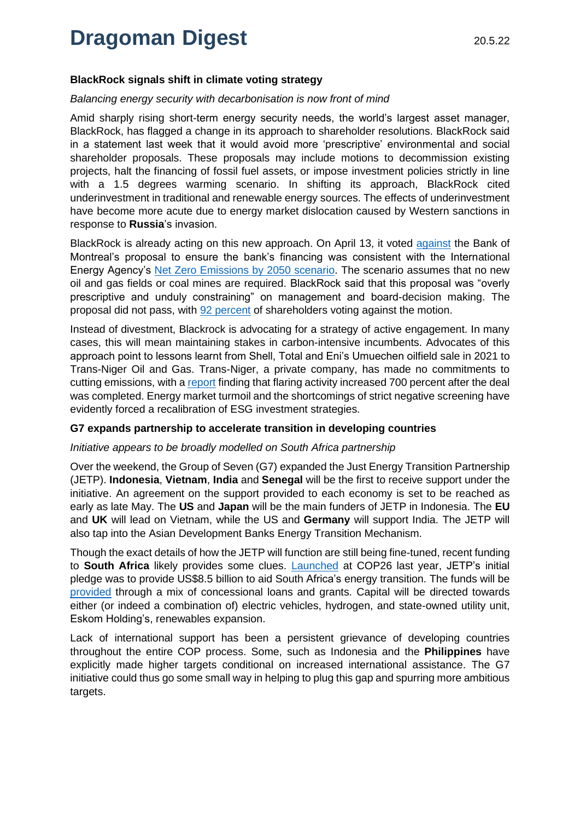# **Dragoman Digest**

# **BlackRock signals shift in climate voting strategy**

## *Balancing energy security with decarbonisation is now front of mind*

Amid sharply rising short-term energy security needs, the world's largest asset manager, BlackRock, has flagged a change in its approach to shareholder resolutions. BlackRock said in a statement last week that it would avoid more 'prescriptive' environmental and social shareholder proposals. These proposals may include motions to decommission existing projects, halt the financing of fossil fuel assets, or impose investment policies strictly in line with a 1.5 degrees warming scenario. In shifting its approach, BlackRock cited underinvestment in traditional and renewable energy sources. The effects of underinvestment have become more acute due to energy market dislocation caused by Western sanctions in response to **Russia**'s invasion.

BlackRock is already acting on this new approach. On April 13, it voted against the Bank of Montreal's proposal to ensure the bank's financing was consistent with the International Energy Agency's Net Zero Emissions by 2050 scenario. The scenario assumes that no new oil and gas fields or coal mines are required. BlackRock said that this proposal was "overly prescriptive and unduly constraining" on management and board-decision making. The proposal did not pass, with 92 percent of shareholders voting against the motion.

Instead of divestment, Blackrock is advocating for a strategy of active engagement. In many cases, this will mean maintaining stakes in carbon-intensive incumbents. Advocates of this approach point to lessons learnt from Shell, Total and Eni's Umuechen oilfield sale in 2021 to Trans-Niger Oil and Gas. Trans-Niger, a private company, has made no commitments to cutting emissions, with a report finding that flaring activity increased 700 percent after the deal was completed. Energy market turmoil and the shortcomings of strict negative screening have evidently forced a recalibration of ESG investment strategies.

#### **G7 expands partnership to accelerate transition in developing countries**

#### *Initiative appears to be broadly modelled on South Africa partnership*

Over the weekend, the Group of Seven (G7) expanded the Just Energy Transition Partnership (JETP). **Indonesia**, **Vietnam**, **India** and **Senegal** will be the first to receive support under the initiative. An agreement on the support provided to each economy is set to be reached as early as late May. The **US** and **Japan** will be the main funders of JETP in Indonesia. The **EU**  and **UK** will lead on Vietnam, while the US and **Germany** will support India. The JETP will also tap into the Asian Development Banks Energy Transition Mechanism.

Though the exact details of how the JETP will function are still being fine-tuned, recent funding to **South Africa** likely provides some clues. Launched at COP26 last year, JETP's initial pledge was to provide US\$8.5 billion to aid South Africa's energy transition. The funds will be provided through a mix of concessional loans and grants. Capital will be directed towards either (or indeed a combination of) electric vehicles, hydrogen, and state-owned utility unit, Eskom Holding's, renewables expansion.

Lack of international support has been a persistent grievance of developing countries throughout the entire COP process. Some, such as Indonesia and the **Philippines** have explicitly made higher targets conditional on increased international assistance. The G7 initiative could thus go some small way in helping to plug this gap and spurring more ambitious targets.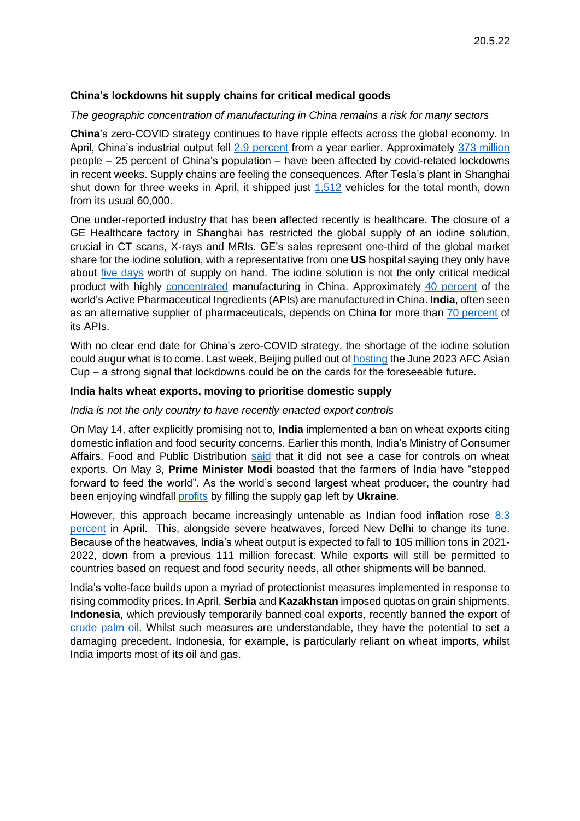## **China's lockdowns hit supply chains for critical medical goods**

#### *The geographic concentration of manufacturing in China remains a risk for many sectors*

**China**'s zero-COVID strategy continues to have ripple effects across the global economy. In April, China's industrial output fell 2.9 percent from a year earlier. Approximately 373 million people – 25 percent of China's population – have been affected by covid-related lockdowns in recent weeks. Supply chains are feeling the consequences. After Tesla's plant in Shanghai shut down for three weeks in April, it shipped just 1,512 vehicles for the total month, down from its usual 60,000.

One under-reported industry that has been affected recently is healthcare. The closure of a GE Healthcare factory in Shanghai has restricted the global supply of an iodine solution, crucial in CT scans, X-rays and MRIs. GE's sales represent one-third of the global market share for the iodine solution, with a representative from one **US** hospital saying they only have about five days worth of supply on hand. The iodine solution is not the only critical medical product with highly concentrated manufacturing in China. Approximately 40 percent of the world's Active Pharmaceutical Ingredients (APIs) are manufactured in China. **India**, often seen as an alternative supplier of pharmaceuticals, depends on China for more than 70 percent of its APIs.

With no clear end date for China's zero-COVID strategy, the shortage of the iodine solution could augur what is to come. Last week, Beijing pulled out of hosting the June 2023 AFC Asian Cup – a strong signal that lockdowns could be on the cards for the foreseeable future.

#### **India halts wheat exports, moving to prioritise domestic supply**

#### *India is not the only country to have recently enacted export controls*

On May 14, after explicitly promising not to, **India** implemented a ban on wheat exports citing domestic inflation and food security concerns. Earlier this month, India's Ministry of Consumer Affairs, Food and Public Distribution said that it did not see a case for controls on wheat exports. On May 3, **Prime Minister Modi** boasted that the farmers of India have "stepped forward to feed the world". As the world's second largest wheat producer, the country had been enjoying windfall profits by filling the supply gap left by **Ukraine**.

However, this approach became increasingly untenable as Indian food inflation rose 8.3 percent in April. This, alongside severe heatwaves, forced New Delhi to change its tune. Because of the heatwaves, India's wheat output is expected to fall to 105 million tons in 2021- 2022, down from a previous 111 million forecast. While exports will still be permitted to countries based on request and food security needs, all other shipments will be banned.

India's volte-face builds upon a myriad of protectionist measures implemented in response to rising commodity prices. In April, **Serbia** and **Kazakhstan** imposed quotas on grain shipments. **Indonesia**, which previously temporarily banned coal exports, recently banned the export of crude palm oil. Whilst such measures are understandable, they have the potential to set a damaging precedent. Indonesia, for example, is particularly reliant on wheat imports, whilst India imports most of its oil and gas.